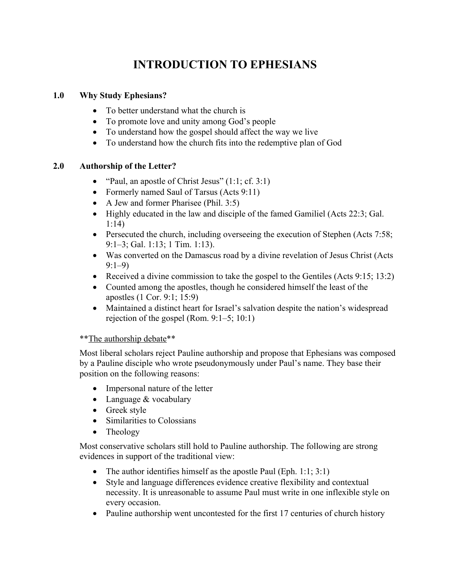# **INTRODUCTION TO EPHESIANS**

## **1.0 Why Study Ephesians?**

- To better understand what the church is
- To promote love and unity among God's people
- To understand how the gospel should affect the way we live
- To understand how the church fits into the redemptive plan of God

## **2.0 Authorship of the Letter?**

- "Paul, an apostle of Christ Jesus" (1:1; cf. 3:1)
- Formerly named Saul of Tarsus (Acts 9:11)
- A Jew and former Pharisee (Phil. 3:5)
- Highly educated in the law and disciple of the famed Gamiliel (Acts 22:3; Gal.) 1:14)
- Persecuted the church, including overseeing the execution of Stephen (Acts 7:58; 9:1–3; Gal. 1:13; 1 Tim. 1:13).
- Was converted on the Damascus road by a divine revelation of Jesus Christ (Acts 9:1–9)
- Received a divine commission to take the gospel to the Gentiles (Acts 9:15; 13:2)
- Counted among the apostles, though he considered himself the least of the apostles (1 Cor. 9:1; 15:9)
- Maintained a distinct heart for Israel's salvation despite the nation's widespread rejection of the gospel (Rom. 9:1–5; 10:1)

## \*\*The authorship debate\*\*

Most liberal scholars reject Pauline authorship and propose that Ephesians was composed by a Pauline disciple who wrote pseudonymously under Paul's name. They base their position on the following reasons:

- Impersonal nature of the letter
- Language & vocabulary
- Greek style
- Similarities to Colossians
- Theology

Most conservative scholars still hold to Pauline authorship. The following are strong evidences in support of the traditional view:

- The author identifies himself as the apostle Paul (Eph. 1:1; 3:1)
- Style and language differences evidence creative flexibility and contextual necessity. It is unreasonable to assume Paul must write in one inflexible style on every occasion.
- Pauline authorship went uncontested for the first 17 centuries of church history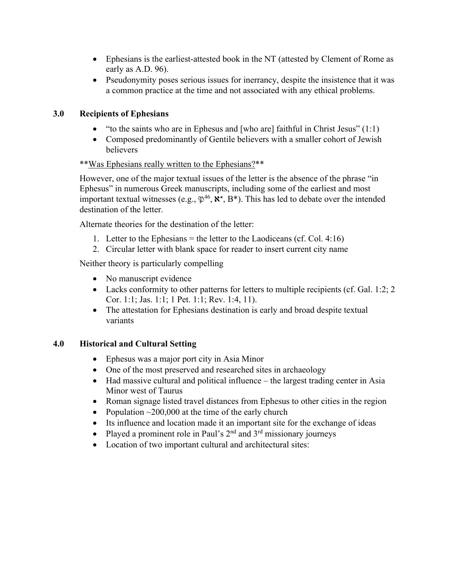- Ephesians is the earliest-attested book in the NT (attested by Clement of Rome as early as A.D. 96).
- Pseudonymity poses serious issues for inerrancy, despite the insistence that it was a common practice at the time and not associated with any ethical problems.

## **3.0 Recipients of Ephesians**

- "to the saints who are in Ephesus and [who are] faithful in Christ Jesus"  $(1:1)$
- Composed predominantly of Gentile believers with a smaller cohort of Jewish believers

## \*\*Was Ephesians really written to the Ephesians?\*\*

However, one of the major textual issues of the letter is the absence of the phrase "in Ephesus" in numerous Greek manuscripts, including some of the earliest and most important textual witnesses (e.g.,  $\mathfrak{P}^{46}$ ,  $\mathbb{R}^*$ ,  $B^*$ ). This has led to debate over the intended destination of the letter.

Alternate theories for the destination of the letter:

- 1. Letter to the Ephesians  $=$  the letter to the Laodiceans (cf. Col. 4:16)
- 2. Circular letter with blank space for reader to insert current city name

Neither theory is particularly compelling

- No manuscript evidence
- Lacks conformity to other patterns for letters to multiple recipients (cf. Gal. 1:2; 2) Cor. 1:1; Jas. 1:1; 1 Pet. 1:1; Rev. 1:4, 11).
- The attestation for Ephesians destination is early and broad despite textual variants

## **4.0 Historical and Cultural Setting**

- Ephesus was a major port city in Asia Minor
- One of the most preserved and researched sites in archaeology
- Had massive cultural and political influence the largest trading center in Asia Minor west of Taurus
- Roman signage listed travel distances from Ephesus to other cities in the region
- Population  $\sim$  200,000 at the time of the early church
- Its influence and location made it an important site for the exchange of ideas
- Played a prominent role in Paul's  $2<sup>nd</sup>$  and  $3<sup>rd</sup>$  missionary journeys
- Location of two important cultural and architectural sites: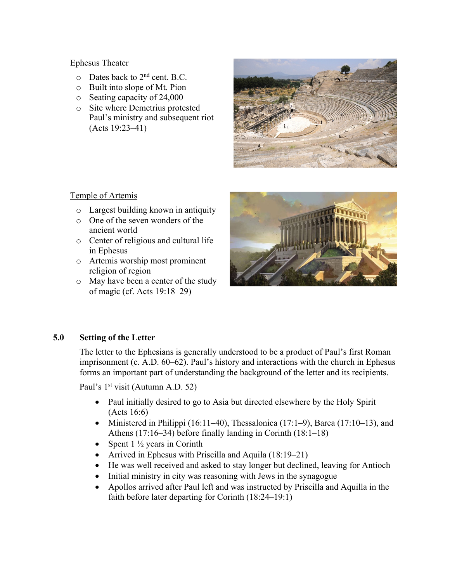#### Ephesus Theater

- $\circ$  Dates back to 2<sup>nd</sup> cent. B.C.
- o Built into slope of Mt. Pion
- o Seating capacity of 24,000
- o Site where Demetrius protested Paul's ministry and subsequent riot (Acts 19:23–41)



## Temple of Artemis

- o Largest building known in antiquity
- o One of the seven wonders of the ancient world
- o Center of religious and cultural life in Ephesus
- o Artemis worship most prominent religion of region
- o May have been a center of the study of magic (cf. Acts 19:18–29)



## **5.0 Setting of the Letter**

The letter to the Ephesians is generally understood to be a product of Paul's first Roman imprisonment (c. A.D. 60–62). Paul's history and interactions with the church in Ephesus forms an important part of understanding the background of the letter and its recipients.

Paul's 1<sup>st</sup> visit (Autumn A.D. 52)

- Paul initially desired to go to Asia but directed elsewhere by the Holy Spirit (Acts 16:6)
- Ministered in Philippi (16:11–40), Thessalonica (17:1–9), Barea (17:10–13), and Athens (17:16–34) before finally landing in Corinth (18:1–18)
- Spent  $1\frac{1}{2}$  years in Corinth
- Arrived in Ephesus with Priscilla and Aquila (18:19–21)
- He was well received and asked to stay longer but declined, leaving for Antioch
- Initial ministry in city was reasoning with Jews in the synagogue
- Apollos arrived after Paul left and was instructed by Priscilla and Aquilla in the faith before later departing for Corinth (18:24–19:1)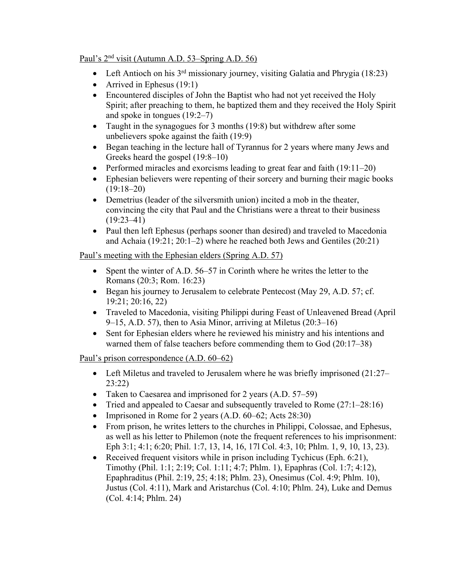## Paul's 2nd visit (Autumn A.D. 53–Spring A.D. 56)

- Left Antioch on his  $3<sup>rd</sup>$  missionary journey, visiting Galatia and Phrygia (18:23)
- Arrived in Ephesus (19:1)
- Encountered disciples of John the Baptist who had not yet received the Holy Spirit; after preaching to them, he baptized them and they received the Holy Spirit and spoke in tongues (19:2–7)
- Taught in the synagogues for 3 months (19:8) but withdrew after some unbelievers spoke against the faith (19:9)
- Began teaching in the lecture hall of Tyrannus for 2 years where many Jews and Greeks heard the gospel (19:8–10)
- Performed miracles and exorcisms leading to great fear and faith (19:11–20)
- Ephesian believers were repenting of their sorcery and burning their magic books  $(19:18-20)$
- Demetrius (leader of the silversmith union) incited a mob in the theater, convincing the city that Paul and the Christians were a threat to their business  $(19:23-41)$
- Paul then left Ephesus (perhaps sooner than desired) and traveled to Macedonia and Achaia (19:21; 20:1–2) where he reached both Jews and Gentiles (20:21)

## Paul's meeting with the Ephesian elders (Spring A.D. 57)

- Spent the winter of A.D. 56–57 in Corinth where he writes the letter to the Romans (20:3; Rom. 16:23)
- Began his journey to Jerusalem to celebrate Pentecost (May 29, A.D. 57; cf. 19:21; 20:16, 22)
- Traveled to Macedonia, visiting Philippi during Feast of Unleavened Bread (April 9–15, A.D. 57), then to Asia Minor, arriving at Miletus (20:3–16)
- Sent for Ephesian elders where he reviewed his ministry and his intentions and warned them of false teachers before commending them to God (20:17–38)

## Paul's prison correspondence (A.D. 60–62)

- Left Miletus and traveled to Jerusalem where he was briefly imprisoned (21:27– 23:22)
- Taken to Caesarea and imprisoned for 2 years (A.D. 57–59)
- Tried and appealed to Caesar and subsequently traveled to Rome (27:1–28:16)
- Imprisoned in Rome for 2 years (A.D. 60–62; Acts 28:30)
- From prison, he writes letters to the churches in Philippi, Colossae, and Ephesus, as well as his letter to Philemon (note the frequent references to his imprisonment: Eph 3:1; 4:1; 6:20; Phil. 1:7, 13, 14, 16, 17l Col. 4:3, 10; Phlm. 1, 9, 10, 13, 23).
- Received frequent visitors while in prison including Tychicus (Eph. 6:21), Timothy (Phil. 1:1; 2:19; Col. 1:11; 4:7; Phlm. 1), Epaphras (Col. 1:7; 4:12), Epaphraditus (Phil. 2:19, 25; 4:18; Phlm. 23), Onesimus (Col. 4:9; Phlm. 10), Justus (Col. 4:11), Mark and Aristarchus (Col. 4:10; Phlm. 24), Luke and Demus (Col. 4:14; Phlm. 24)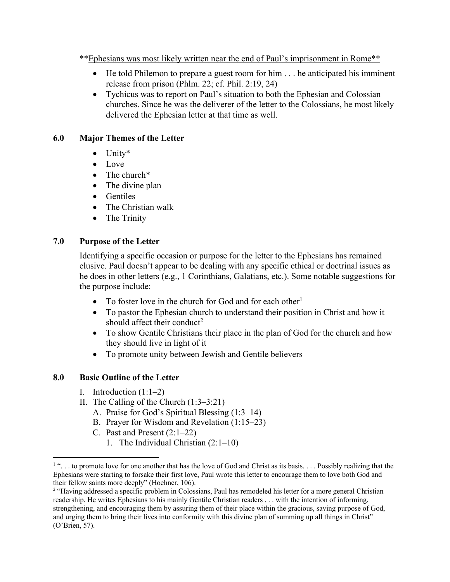\*\*Ephesians was most likely written near the end of Paul's imprisonment in Rome\*\*

- He told Philemon to prepare a guest room for him . . . he anticipated his imminent release from prison (Phlm. 22; cf. Phil. 2:19, 24)
- Tychicus was to report on Paul's situation to both the Ephesian and Colossian churches. Since he was the deliverer of the letter to the Colossians, he most likely delivered the Ephesian letter at that time as well.

## **6.0 Major Themes of the Letter**

- Unity\*
- Love
- The church<sup>\*</sup>
- The divine plan
- Gentiles
- The Christian walk
- The Trinity

## **7.0 Purpose of the Letter**

Identifying a specific occasion or purpose for the letter to the Ephesians has remained elusive. Paul doesn't appear to be dealing with any specific ethical or doctrinal issues as he does in other letters (e.g., 1 Corinthians, Galatians, etc.). Some notable suggestions for the purpose include:

- To foster love in the church for God and for each other<sup>1</sup>
- To pastor the Ephesian church to understand their position in Christ and how it should affect their conduct<sup>2</sup>
- To show Gentile Christians their place in the plan of God for the church and how they should live in light of it
- To promote unity between Jewish and Gentile believers

## **8.0 Basic Outline of the Letter**

- I. Introduction  $(1:1-2)$
- II. The Calling of the Church (1:3–3:21)
	- A. Praise for God's Spiritual Blessing (1:3–14)
	- B. Prayer for Wisdom and Revelation (1:15–23)
	- C. Past and Present (2:1–22)
		- 1. The Individual Christian (2:1–10)

<sup>&</sup>lt;sup>1</sup> "... to promote love for one another that has the love of God and Christ as its basis.... Possibly realizing that the Ephesians were starting to forsake their first love, Paul wrote this letter to encourage them to love both God and their fellow saints more deeply" (Hoehner, 106).

<sup>&</sup>lt;sup>2</sup> "Having addressed a specific problem in Colossians, Paul has remodeled his letter for a more general Christian readership. He writes Ephesians to his mainly Gentile Christian readers . . . with the intention of informing, strengthening, and encouraging them by assuring them of their place within the gracious, saving purpose of God, and urging them to bring their lives into conformity with this divine plan of summing up all things in Christ" (O'Brien, 57).